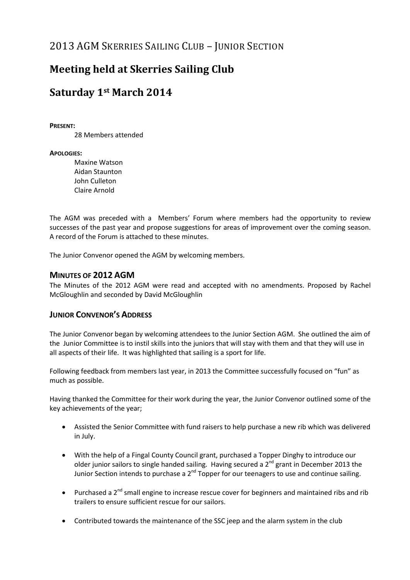# **Meeting held at Skerries Sailing Club**

# **Saturday 1st March 2014**

## **PRESENT:**

28 Members attended

## **APOLOGIES:**

Maxine Watson Aidan Staunton John Culleton Claire Arnold

The AGM was preceded with a Members' Forum where members had the opportunity to review successes of the past year and propose suggestions for areas of improvement over the coming season. A record of the Forum is attached to these minutes.

The Junior Convenor opened the AGM by welcoming members.

## **MINUTES OF 2012 AGM**

The Minutes of the 2012 AGM were read and accepted with no amendments. Proposed by Rachel McGloughlin and seconded by David McGloughlin

# **JUNIOR CONVENOR'S ADDRESS**

The Junior Convenor began by welcoming attendees to the Junior Section AGM. She outlined the aim of the Junior Committee is to instil skills into the juniors that will stay with them and that they will use in all aspects of their life. It was highlighted that sailing is a sport for life.

Following feedback from members last year, in 2013 the Committee successfully focused on "fun" as much as possible.

Having thanked the Committee for their work during the year, the Junior Convenor outlined some of the key achievements of the year;

- Assisted the Senior Committee with fund raisers to help purchase a new rib which was delivered in July.
- With the help of a Fingal County Council grant, purchased a Topper Dinghy to introduce our older junior sailors to single handed sailing. Having secured a  $2^{nd}$  grant in December 2013 the Junior Section intends to purchase a  $2^{nd}$  Topper for our teenagers to use and continue sailing.
- Purchased a  $2^{nd}$  small engine to increase rescue cover for beginners and maintained ribs and rib trailers to ensure sufficient rescue for our sailors.
- Contributed towards the maintenance of the SSC jeep and the alarm system in the club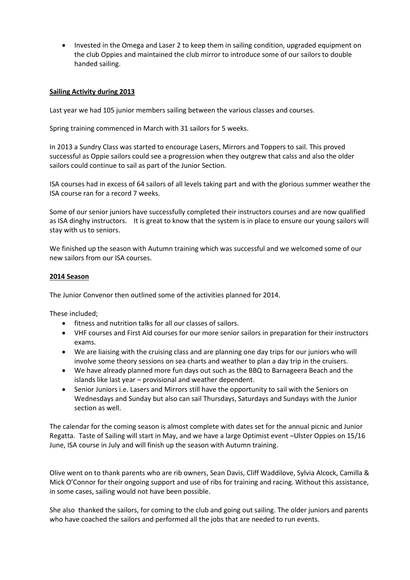Invested in the Omega and Laser 2 to keep them in sailing condition, upgraded equipment on the club Oppies and maintained the club mirror to introduce some of our sailors to double handed sailing.

## **Sailing Activity during 2013**

Last year we had 105 junior members sailing between the various classes and courses.

Spring training commenced in March with 31 sailors for 5 weeks.

In 2013 a Sundry Class was started to encourage Lasers, Mirrors and Toppers to sail. This proved successful as Oppie sailors could see a progression when they outgrew that calss and also the older sailors could continue to sail as part of the Junior Section.

ISA courses had in excess of 64 sailors of all levels taking part and with the glorious summer weather the ISA course ran for a record 7 weeks.

Some of our senior juniors have successfully completed their instructors courses and are now qualified as ISA dinghy instructors. It is great to know that the system is in place to ensure our young sailors will stay with us to seniors.

We finished up the season with Autumn training which was successful and we welcomed some of our new sailors from our ISA courses.

## **2014 Season**

The Junior Convenor then outlined some of the activities planned for 2014.

These included;

- fitness and nutrition talks for all our classes of sailors.
- VHF courses and First Aid courses for our more senior sailors in preparation for their instructors exams.
- We are liaising with the cruising class and are planning one day trips for our juniors who will involve some theory sessions on sea charts and weather to plan a day trip in the cruisers.
- We have already planned more fun days out such as the BBQ to Barnageera Beach and the islands like last year – provisional and weather dependent.
- Senior Juniors i.e. Lasers and Mirrors still have the opportunity to sail with the Seniors on Wednesdays and Sunday but also can sail Thursdays, Saturdays and Sundays with the Junior section as well.

The calendar for the coming season is almost complete with dates set for the annual picnic and Junior Regatta. Taste of Sailing will start in May, and we have a large Optimist event –Ulster Oppies on 15/16 June, ISA course in July and will finish up the season with Autumn training.

Olive went on to thank parents who are rib owners, Sean Davis, Cliff Waddilove, Sylvia Alcock, Camilla & Mick O'Connor for their ongoing support and use of ribs for training and racing. Without this assistance, in some cases, sailing would not have been possible.

She also thanked the sailors, for coming to the club and going out sailing. The older juniors and parents who have coached the sailors and performed all the jobs that are needed to run events.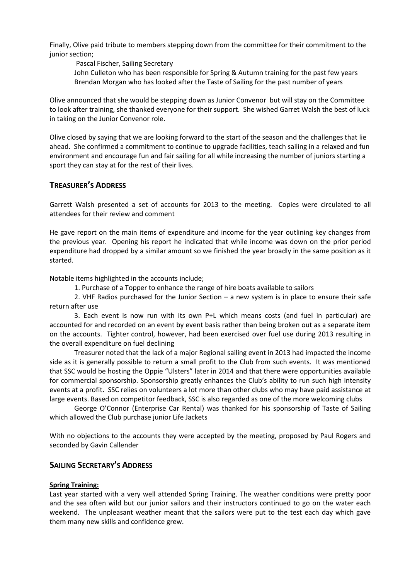Finally, Olive paid tribute to members stepping down from the committee for their commitment to the junior section;

Pascal Fischer, Sailing Secretary

John Culleton who has been responsible for Spring & Autumn training for the past few years Brendan Morgan who has looked after the Taste of Sailing for the past number of years

Olive announced that she would be stepping down as Junior Convenor but will stay on the Committee to look after training, she thanked everyone for their support. She wished Garret Walsh the best of luck in taking on the Junior Convenor role.

Olive closed by saying that we are looking forward to the start of the season and the challenges that lie ahead. She confirmed a commitment to continue to upgrade facilities, teach sailing in a relaxed and fun environment and encourage fun and fair sailing for all while increasing the number of juniors starting a sport they can stay at for the rest of their lives.

## **TREASURER'S ADDRESS**

Garrett Walsh presented a set of accounts for 2013 to the meeting. Copies were circulated to all attendees for their review and comment

He gave report on the main items of expenditure and income for the year outlining key changes from the previous year. Opening his report he indicated that while income was down on the prior period expenditure had dropped by a similar amount so we finished the year broadly in the same position as it started.

Notable items highlighted in the accounts include;

1. Purchase of a Topper to enhance the range of hire boats available to sailors

2. VHF Radios purchased for the Junior Section  $-$  a new system is in place to ensure their safe return after use

3. Each event is now run with its own P+L which means costs (and fuel in particular) are accounted for and recorded on an event by event basis rather than being broken out as a separate item on the accounts. Tighter control, however, had been exercised over fuel use during 2013 resulting in the overall expenditure on fuel declining

Treasurer noted that the lack of a major Regional sailing event in 2013 had impacted the income side as it is generally possible to return a small profit to the Club from such events. It was mentioned that SSC would be hosting the Oppie "Ulsters" later in 2014 and that there were opportunities available for commercial sponsorship. Sponsorship greatly enhances the Club's ability to run such high intensity events at a profit. SSC relies on volunteers a lot more than other clubs who may have paid assistance at large events. Based on competitor feedback, SSC is also regarded as one of the more welcoming clubs

George O'Connor (Enterprise Car Rental) was thanked for his sponsorship of Taste of Sailing which allowed the Club purchase junior Life Jackets

With no objections to the accounts they were accepted by the meeting, proposed by Paul Rogers and seconded by Gavin Callender

# **SAILING SECRETARY'S ADDRESS**

## **Spring Training:**

Last year started with a very well attended Spring Training. The weather conditions were pretty poor and the sea often wild but our junior sailors and their instructors continued to go on the water each weekend. The unpleasant weather meant that the sailors were put to the test each day which gave them many new skills and confidence grew.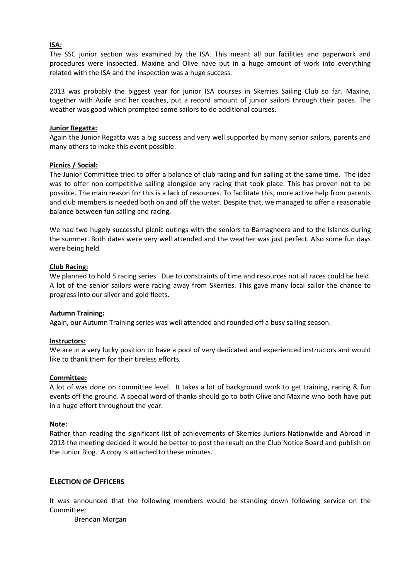#### **ISA:**

The SSC junior section was examined by the ISA. This meant all our facilities and paperwork and procedures were inspected. Maxine and Olive have put in a huge amount of work into everything related with the ISA and the inspection was a huge success.

2013 was probably the biggest year for junior ISA courses in Skerries Sailing Club so far. Maxine, together with Aoife and her coaches, put a record amount of junior sailors through their paces. The weather was good which prompted some sailors to do additional courses.

#### **Junior Regatta:**

Again the Junior Regatta was a big success and very well supported by many senior sailors, parents and many others to make this event possible.

## **Picnics / Social:**

The Junior Committee tried to offer a balance of club racing and fun sailing at the same time. The idea was to offer non-competitive sailing alongside any racing that took place. This has proven not to be possible. The main reason for this is a lack of resources. To facilitate this, more active help from parents and club members is needed both on and off the water. Despite that, we managed to offer a reasonable balance between fun sailing and racing.

We had two hugely successful picnic outings with the seniors to Barnagheera and to the Islands during the summer. Both dates were very well attended and the weather was just perfect. Also some fun days were being held.

#### **Club Racing:**

We planned to hold 5 racing series. Due to constraints of time and resources not all races could be held. A lot of the senior sailors were racing away from Skerries. This gave many local sailor the chance to progress into our silver and gold fleets.

## **Autumn Training:**

Again, our Autumn Training series was well attended and rounded off a busy sailing season.

#### **Instructors:**

We are in a very lucky position to have a pool of very dedicated and experienced instructors and would like to thank them for their tireless efforts.

#### **Committee:**

A lot of was done on committee level. It takes a lot of background work to get training, racing & fun events off the ground. A special word of thanks should go to both Olive and Maxine who both have put in a huge effort throughout the year.

#### **Note:**

Rather than reading the significant list of achievements of Skerries Juniors Nationwide and Abroad in 2013 the meeting decided it would be better to post the result on the Club Notice Board and publish on the Junior Blog. A copy is attached to these minutes.

## **ELECTION OF OFFICERS**

It was announced that the following members would be standing down following service on the Committee;

Brendan Morgan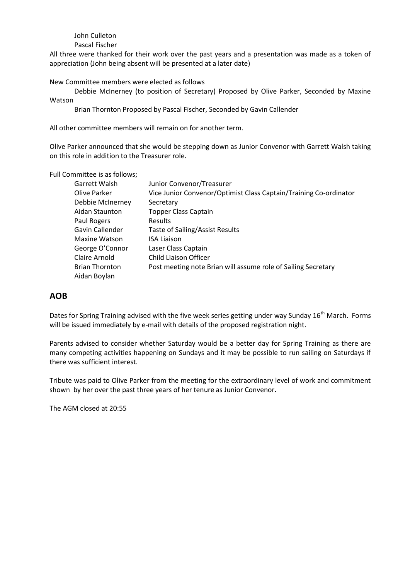## John Culleton

## Pascal Fischer

All three were thanked for their work over the past years and a presentation was made as a token of appreciation (John being absent will be presented at a later date)

New Committee members were elected as follows

Debbie McInerney (to position of Secretary) Proposed by Olive Parker, Seconded by Maxine Watson

Brian Thornton Proposed by Pascal Fischer, Seconded by Gavin Callender

All other committee members will remain on for another term.

Olive Parker announced that she would be stepping down as Junior Convenor with Garrett Walsh taking on this role in addition to the Treasurer role.

Full Committee is as follows;

| Garrett Walsh         | Junior Convenor/Treasurer                                         |  |  |  |
|-----------------------|-------------------------------------------------------------------|--|--|--|
| Olive Parker          | Vice Junior Convenor/Optimist Class Captain/Training Co-ordinator |  |  |  |
| Debbie McInerney      | Secretary                                                         |  |  |  |
| Aidan Staunton        | <b>Topper Class Captain</b>                                       |  |  |  |
| Paul Rogers           | <b>Results</b>                                                    |  |  |  |
| Gavin Callender       | Taste of Sailing/Assist Results                                   |  |  |  |
| Maxine Watson         | <b>ISA Liaison</b>                                                |  |  |  |
| George O'Connor       | Laser Class Captain                                               |  |  |  |
| Claire Arnold         | Child Liaison Officer                                             |  |  |  |
| <b>Brian Thornton</b> | Post meeting note Brian will assume role of Sailing Secretary     |  |  |  |
| Aidan Boylan          |                                                                   |  |  |  |

# **AOB**

Dates for Spring Training advised with the five week series getting under way Sunday 16<sup>th</sup> March. Forms will be issued immediately by e-mail with details of the proposed registration night.

Parents advised to consider whether Saturday would be a better day for Spring Training as there are many competing activities happening on Sundays and it may be possible to run sailing on Saturdays if there was sufficient interest.

Tribute was paid to Olive Parker from the meeting for the extraordinary level of work and commitment shown by her over the past three years of her tenure as Junior Convenor.

The AGM closed at 20:55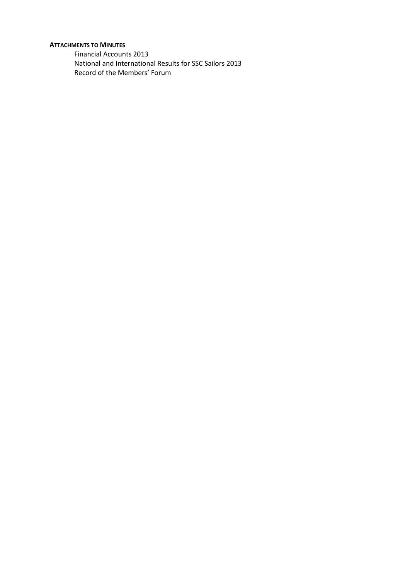# **ATTACHMENTS TO MINUTES**

Financial Accounts 2013 National and International Results for SSC Sailors 2013 Record of the Members' Forum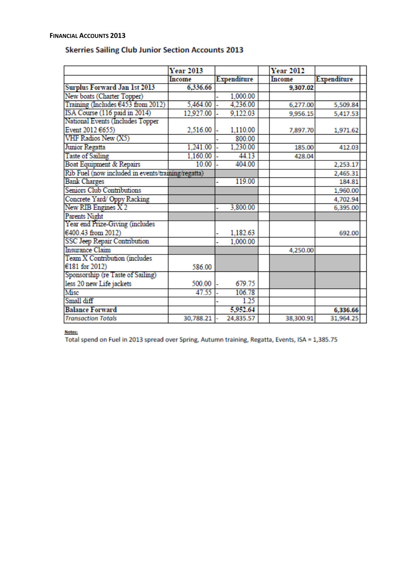## **Skerries Sailing Club Junior Section Accounts 2013**

|                                                    | <b>Year 2013</b> |                    | <b>Year 2012</b> |                    |
|----------------------------------------------------|------------------|--------------------|------------------|--------------------|
|                                                    | Income           | <b>Expenditure</b> | <b>Income</b>    | <b>Expenditure</b> |
| <b>Surplus Forward Jan 1st 2013</b>                | 6,336.66         |                    | 9,307.02         |                    |
| New boats (Charter Topper)                         |                  | 1,000.00           |                  |                    |
| Training (Includes €453 from 2012)                 | 5,464.00         | 4,236.00           | 6,277.00         | 5,509.84           |
| ISA Course (116 paid in 2014)                      | 12,927.00        | 9.122.03           | 9,956.15         | 5,417.53           |
| National Events (Includes Topper                   |                  |                    |                  |                    |
| Event 2012 €655)                                   | 2,516.00         | 1,110.00           | 7,897.70         | 1,971.62           |
| VHF Radios New (X5)                                |                  | 800.00             |                  |                    |
| Junior Regatta                                     | 1,241.00         | 1,230.00           | 185.00           | 412.03             |
| <b>Taste of Sailing</b>                            | 1,160.00         | 44.13              | 428.04           |                    |
| Boat Equipment & Repairs                           | 10.00            | 404.00             |                  | 2,253.17           |
| Rib Fuel (now included in events/training/regatta) |                  |                    |                  | 2,465.31           |
| <b>Bank Charges</b>                                |                  | 119.00             |                  | 184.81             |
| Seniors Club Contributions                         |                  |                    |                  | 1,960.00           |
| Concrete Yard/ Oppy Racking                        |                  |                    |                  | 4,702.94           |
| New RIB Engines X 2                                |                  | 3,800.00           |                  | 6,395.00           |
| <b>Parents Night</b>                               |                  |                    |                  |                    |
| Year end Prize-Giving (includes                    |                  |                    |                  |                    |
| €400.43 from 2012)                                 |                  | 1,182.63           |                  | 692.00             |
| SSC Jeep Repair Contribution                       |                  | 1,000.00           |                  |                    |
| <b>Insurance Claim</b>                             |                  |                    | 4,250.00         |                    |
| Team X Contribution (includes                      |                  |                    |                  |                    |
| €181 for 2012)                                     | 586.00           |                    |                  |                    |
| Sponsorship (re Taste of Sailing)                  |                  |                    |                  |                    |
| less 20 new Life jackets                           | 500.00           | 679.75             |                  |                    |
| Misc                                               | 47.55            | 106.78             |                  |                    |
| Small diff                                         |                  | 1.25               |                  |                    |
| <b>Balance Forward</b>                             |                  | 5,952.64           |                  | 6,336.66           |
| <b>Transaction Totals</b>                          | 30,788.21        | 24,835.57          | 38,300.91        | 31,964.25          |

Notes:

Total spend on Fuel in 2013 spread over Spring, Autumn training, Regatta, Events, ISA = 1,385.75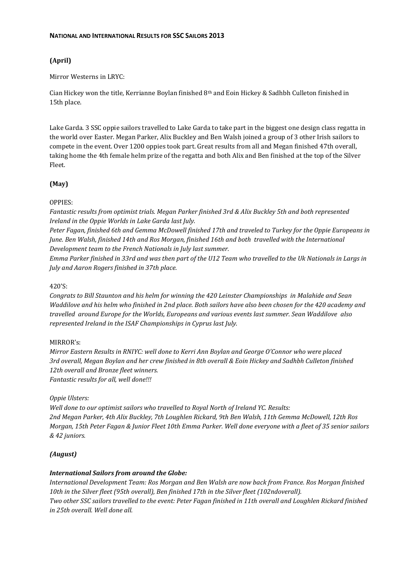## **(April)**

## Mirror Westerns in LRYC:

Cian Hickey won the title, Kerrianne Boylan finished 8th and Eoin Hickey & Sadhbh Culleton finished in 15th place.

Lake Garda. 3 SSC oppie sailors travelled to Lake Garda to take part in the biggest one design class regatta in the world over Easter. Megan Parker, Alix Buckley and Ben Walsh joined a group of 3 other Irish sailors to compete in the event. Over 1200 oppies took part. Great results from all and Megan finished 47th overall, taking home the 4th female helm prize of the regatta and both Alix and Ben finished at the top of the Silver Fleet.

## **(May)**

## OPPIES:

*Fantastic results from optimist trials. Megan Parker finished 3rd & Alix Buckley 5th and both represented Ireland in the Oppie Worlds in Lake Garda last July.*

*Peter Fagan, finished 6th and Gemma McDowell finished 17th and traveled to Turkey for the Oppie Europeans in June. Ben Walsh, finished 14th and Ros Morgan, finished 16th and both travelled with the International Development team to the French Nationals in July last summer.*

*Emma Parker finished in 33rd and was then part of the U12 Team who travelled to the Uk Nationals in Largs in July and Aaron Rogers finished in 37th place.*

## 420'S:

*Congrats to Bill Staunton and his helm for winning the 420 Leinster Championships in Malahide and Sean Waddilove and his helm who finished in 2nd place. Both sailors have also been chosen for the 420 academy and travelled around Europe for the Worlds, Europeans and various events last summer. Sean Waddilove also represented Ireland in the ISAF Championships in Cyprus last July.*

## MIRROR's:

*Mirror Eastern Results in RNIYC: well done to Kerri Ann Boylan and George O'Connor who were placed 3rd overall, Megan Boylan and her crew finished in 8th overall & Eoin Hickey and Sadhbh Culleton finished 12th overall and Bronze fleet winners. Fantastic results for all, well done!!!*

## *Oppie Ulsters:*

*Well done to our optimist sailors who travelled to Royal North of Ireland YC. Results: 2nd Megan Parker, 4th Alix Buckley, 7th Loughlen Rickard, 9th Ben Walsh, 11th Gemma McDowell, 12th Ros Morgan, 15th Peter Fagan & Junior Fleet 10th Emma Parker. Well done everyone with a fleet of 35 senior sailors & 42 juniors.*

## *(August)*

## *International Sailors from around the Globe:*

*International Development Team: Ros Morgan and Ben Walsh are now back from France. Ros Morgan finished 10th in the Silver fleet (95th overall), Ben finished 17th in the Silver fleet (102ndoverall). Two other SSC sailors travelled to the event: Peter Fagan finished in 11th overall and Loughlen Rickard finished in 25th overall. Well done all.*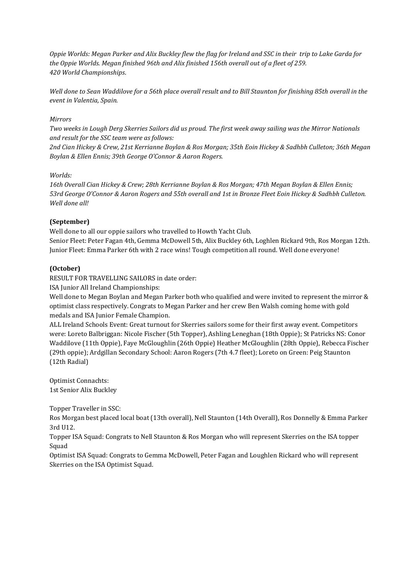*Oppie Worlds: Megan Parker and Alix Buckley flew the flag for Ireland and SSC in their trip to Lake Garda for the Oppie Worlds. Megan finished 96th and Alix finished 156th overall out of a fleet of 259. 420 World Championships*.

*Well done to Sean Waddilove for a 56th place overall result and to Bill Staunton for finishing 85th overall in the event in Valentia, Spain.*

## *Mirrors*

*Two weeks in Lough Derg Skerries Sailors did us proud. The first week away sailing was the Mirror Nationals and result for the SSC team were as follows:*

*2nd Cian Hickey & Crew, 21st Kerrianne Boylan & Ros Morgan; 35th Eoin Hickey & Sadhbh Culleton; 36th Megan Boylan & Ellen Ennis; 39th George O'Connor & Aaron Rogers.*

## *Worlds:*

*16th Overall Cian Hickey & Crew; 28th Kerrianne Boylan & Ros Morgan; 47th Megan Boylan & Ellen Ennis; 53rd George O'Connor & Aaron Rogers and 55th overall and 1st in Bronze Fleet Eoin Hickey & Sadhbh Culleton. Well done all!*

## **(September)**

Well done to all our oppie sailors who travelled to Howth Yacht Club.

Senior Fleet: Peter Fagan 4th, Gemma McDowell 5th, Alix Buckley 6th, Loghlen Rickard 9th, Ros Morgan 12th. Junior Fleet: Emma Parker 6th with 2 race wins! Tough competition all round. Well done everyone!

## **(October)**

RESULT FOR TRAVELLING SAILORS in date order:

ISA Junior All Ireland Championships:

Well done to Megan Boylan and Megan Parker both who qualified and were invited to represent the mirror & optimist class respectively. Congrats to Megan Parker and her crew Ben Walsh coming home with gold medals and ISA Junior Female Champion.

ALL Ireland Schools Event: Great turnout for Skerries sailors some for their first away event. Competitors were: Loreto Balbriggan: Nicole Fischer (5th Topper), Ashling Leneghan (18th Oppie); St Patricks NS: Conor Waddilove (11th Oppie), Faye McGloughlin (26th Oppie) Heather McGloughlin (28th Oppie), Rebecca Fischer (29th oppie); Ardgillan Secondary School: Aaron Rogers (7th 4.7 fleet); Loreto on Green: Peig Staunton (12th Radial)

Optimist Connachts: 1st Senior Alix Buckley

Topper Traveller in SSC:

Ros Morgan best placed local boat (13th overall), Nell Staunton (14th Overall), Ros Donnelly & Emma Parker 3rd U12.

Topper ISA Squad: Congrats to Nell Staunton & Ros Morgan who will represent Skerries on the ISA topper Squad

Optimist ISA Squad: Congrats to Gemma McDowell, Peter Fagan and Loughlen Rickard who will represent Skerries on the ISA Optimist Squad.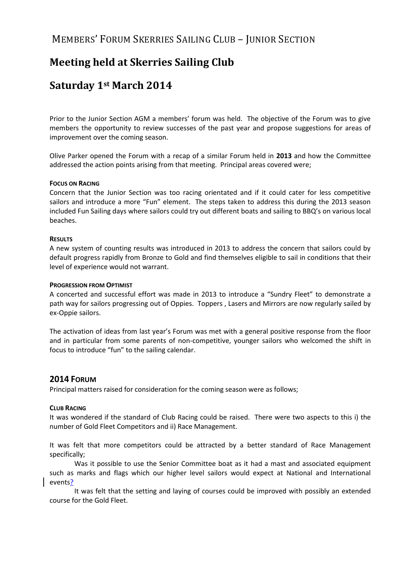# **Meeting held at Skerries Sailing Club**

# **Saturday 1st March 2014**

Prior to the Junior Section AGM a members' forum was held. The objective of the Forum was to give members the opportunity to review successes of the past year and propose suggestions for areas of improvement over the coming season.

Olive Parker opened the Forum with a recap of a similar Forum held in **2013** and how the Committee addressed the action points arising from that meeting. Principal areas covered were;

## **FOCUS ON RACING**

Concern that the Junior Section was too racing orientated and if it could cater for less competitive sailors and introduce a more "Fun" element. The steps taken to address this during the 2013 season included Fun Sailing days where sailors could try out different boats and sailing to BBQ's on various local beaches.

## **RESULTS**

A new system of counting results was introduced in 2013 to address the concern that sailors could by default progress rapidly from Bronze to Gold and find themselves eligible to sail in conditions that their level of experience would not warrant.

## **PROGRESSION FROM OPTIMIST**

A concerted and successful effort was made in 2013 to introduce a "Sundry Fleet" to demonstrate a path way for sailors progressing out of Oppies. Toppers , Lasers and Mirrors are now regularly sailed by ex-Oppie sailors.

The activation of ideas from last year's Forum was met with a general positive response from the floor and in particular from some parents of non-competitive, younger sailors who welcomed the shift in focus to introduce "fun" to the sailing calendar.

## **2014 FORUM**

Principal matters raised for consideration for the coming season were as follows;

## **CLUB RACING**

It was wondered if the standard of Club Racing could be raised. There were two aspects to this i) the number of Gold Fleet Competitors and ii) Race Management.

It was felt that more competitors could be attracted by a better standard of Race Management specifically;

Was it possible to use the Senior Committee boat as it had a mast and associated equipment such as marks and flags which our higher level sailors would expect at National and International events?

It was felt that the setting and laying of courses could be improved with possibly an extended course for the Gold Fleet.